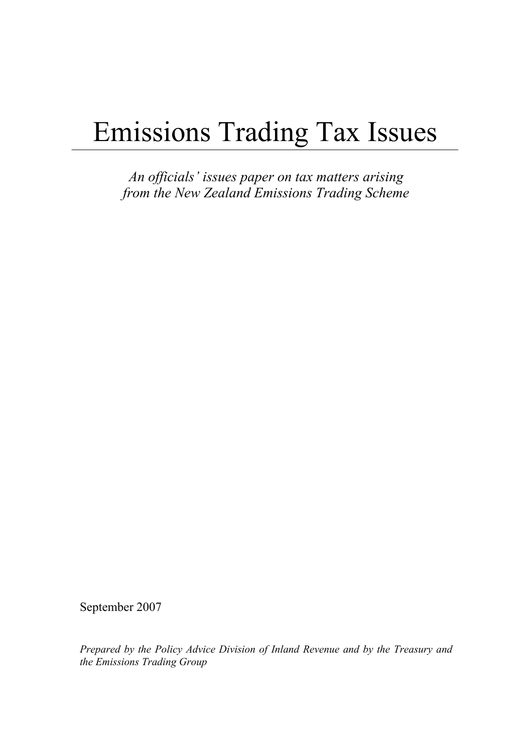# Emissions Trading Tax Issues

*An officials' issues paper on tax matters arising from the New Zealand Emissions Trading Scheme* 

September 2007

*Prepared by the Policy Advice Division of Inland Revenue and by the Treasury and the Emissions Trading Group*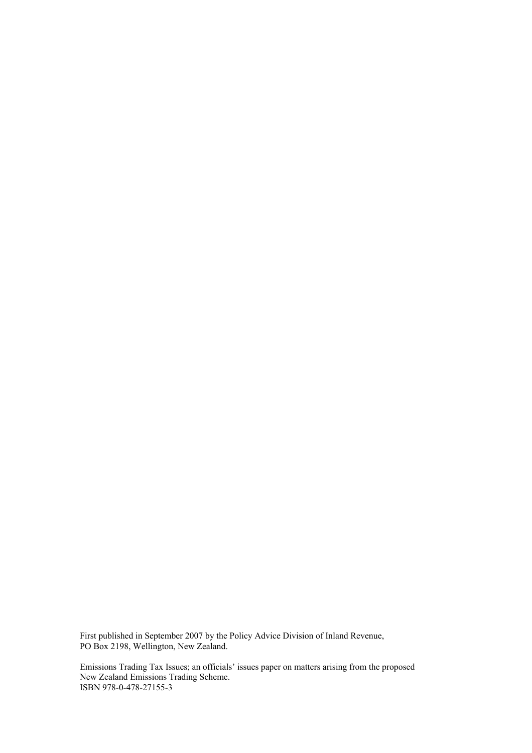First published in September 2007 by the Policy Advice Division of Inland Revenue, PO Box 2198, Wellington, New Zealand.

Emissions Trading Tax Issues; an officials' issues paper on matters arising from the proposed New Zealand Emissions Trading Scheme. ISBN 978-0-478-27155-3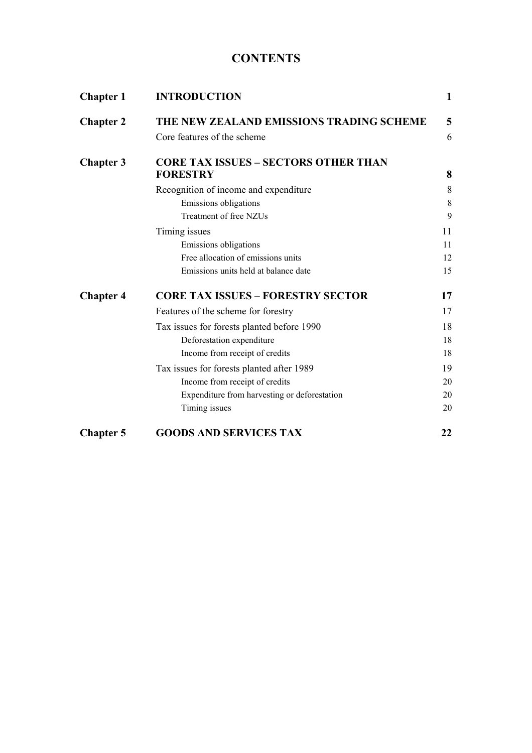# **CONTENTS**

| <b>Chapter 1</b> | <b>INTRODUCTION</b>                          | 1  |
|------------------|----------------------------------------------|----|
| <b>Chapter 2</b> | THE NEW ZEALAND EMISSIONS TRADING SCHEME     | 5  |
|                  | Core features of the scheme                  | 6  |
| <b>Chapter 3</b> | <b>CORE TAX ISSUES - SECTORS OTHER THAN</b>  |    |
|                  | <b>FORESTRY</b>                              | 8  |
|                  | Recognition of income and expenditure        | 8  |
|                  | Emissions obligations                        | 8  |
|                  | Treatment of free NZUs                       | 9  |
|                  | Timing issues                                | 11 |
|                  | Emissions obligations                        | 11 |
|                  | Free allocation of emissions units           | 12 |
|                  | Emissions units held at balance date         | 15 |
| <b>Chapter 4</b> | <b>CORE TAX ISSUES - FORESTRY SECTOR</b>     | 17 |
|                  | Features of the scheme for forestry          | 17 |
|                  | Tax issues for forests planted before 1990   | 18 |
|                  | Deforestation expenditure                    | 18 |
|                  | Income from receipt of credits               | 18 |
|                  | Tax issues for forests planted after 1989    | 19 |
|                  | Income from receipt of credits               | 20 |
|                  | Expenditure from harvesting or deforestation | 20 |
|                  | Timing issues                                | 20 |
| <b>Chapter 5</b> | <b>GOODS AND SERVICES TAX</b>                | 22 |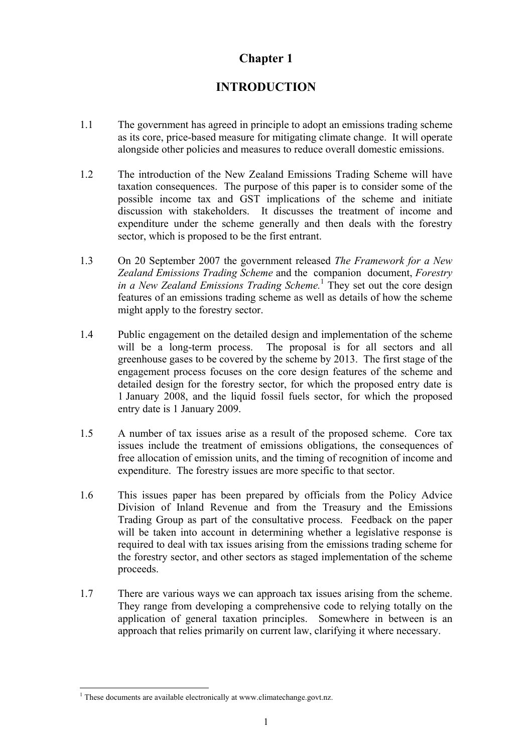# **INTRODUCTION**

- <span id="page-4-0"></span>1.1 The government has agreed in principle to adopt an emissions trading scheme as its core, price-based measure for mitigating climate change. It will operate alongside other policies and measures to reduce overall domestic emissions.
- 1.2 The introduction of the New Zealand Emissions Trading Scheme will have taxation consequences. The purpose of this paper is to consider some of the possible income tax and GST implications of the scheme and initiate discussion with stakeholders. It discusses the treatment of income and expenditure under the scheme generally and then deals with the forestry sector, which is proposed to be the first entrant.
- 1.3 On 20 September 2007 the government released *The Framework for a New Zealand Emissions Trading Scheme* and the companion document, *Forestry in a New Zealand Emissions Trading Scheme.*<sup>1</sup> They set out the core design features of an emissions trading scheme as well as details of how the scheme might apply to the forestry sector.
- 1.4 Public engagement on the detailed design and implementation of the scheme will be a long-term process. The proposal is for all sectors and all greenhouse gases to be covered by the scheme by 2013. The first stage of the engagement process focuses on the core design features of the scheme and detailed design for the forestry sector, for which the proposed entry date is 1 January 2008, and the liquid fossil fuels sector, for which the proposed entry date is 1 January 2009.
- 1.5 A number of tax issues arise as a result of the proposed scheme. Core tax issues include the treatment of emissions obligations, the consequences of free allocation of emission units, and the timing of recognition of income and expenditure. The forestry issues are more specific to that sector.
- 1.6 This issues paper has been prepared by officials from the Policy Advice Division of Inland Revenue and from the Treasury and the Emissions Trading Group as part of the consultative process. Feedback on the paper will be taken into account in determining whether a legislative response is required to deal with tax issues arising from the emissions trading scheme for the forestry sector, and other sectors as staged implementation of the scheme proceeds.
- 1.7 There are various ways we can approach tax issues arising from the scheme. They range from developing a comprehensive code to relying totally on the application of general taxation principles. Somewhere in between is an approach that relies primarily on current law, clarifying it where necessary.

 1 These documents are available electronically at www.climatechange.govt.nz.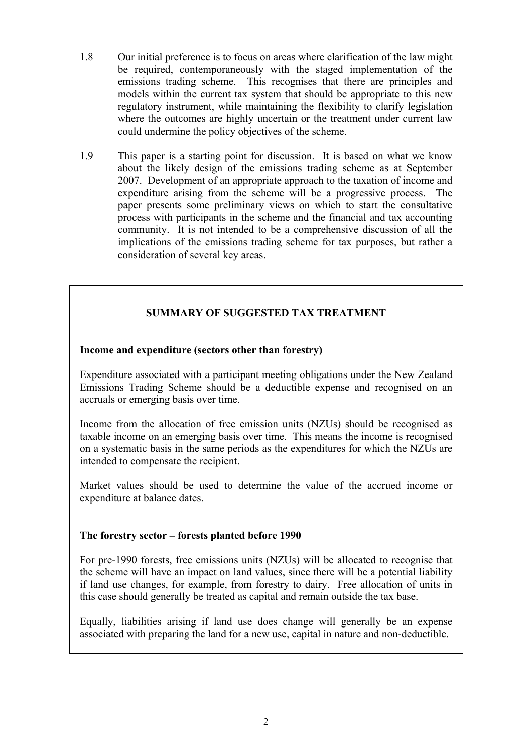- 1.8 Our initial preference is to focus on areas where clarification of the law might be required, contemporaneously with the staged implementation of the emissions trading scheme. This recognises that there are principles and models within the current tax system that should be appropriate to this new regulatory instrument, while maintaining the flexibility to clarify legislation where the outcomes are highly uncertain or the treatment under current law could undermine the policy objectives of the scheme.
- 1.9 This paper is a starting point for discussion. It is based on what we know about the likely design of the emissions trading scheme as at September 2007. Development of an appropriate approach to the taxation of income and expenditure arising from the scheme will be a progressive process. The paper presents some preliminary views on which to start the consultative process with participants in the scheme and the financial and tax accounting community. It is not intended to be a comprehensive discussion of all the implications of the emissions trading scheme for tax purposes, but rather a consideration of several key areas.

# **SUMMARY OF SUGGESTED TAX TREATMENT**

### **Income and expenditure (sectors other than forestry)**

Expenditure associated with a participant meeting obligations under the New Zealand Emissions Trading Scheme should be a deductible expense and recognised on an accruals or emerging basis over time.

Income from the allocation of free emission units (NZUs) should be recognised as taxable income on an emerging basis over time. This means the income is recognised on a systematic basis in the same periods as the expenditures for which the NZUs are intended to compensate the recipient.

Market values should be used to determine the value of the accrued income or expenditure at balance dates.

#### **The forestry sector – forests planted before 1990**

For pre-1990 forests, free emissions units (NZUs) will be allocated to recognise that the scheme will have an impact on land values, since there will be a potential liability if land use changes, for example, from forestry to dairy. Free allocation of units in this case should generally be treated as capital and remain outside the tax base.

Equally, liabilities arising if land use does change will generally be an expense associated with preparing the land for a new use, capital in nature and non-deductible.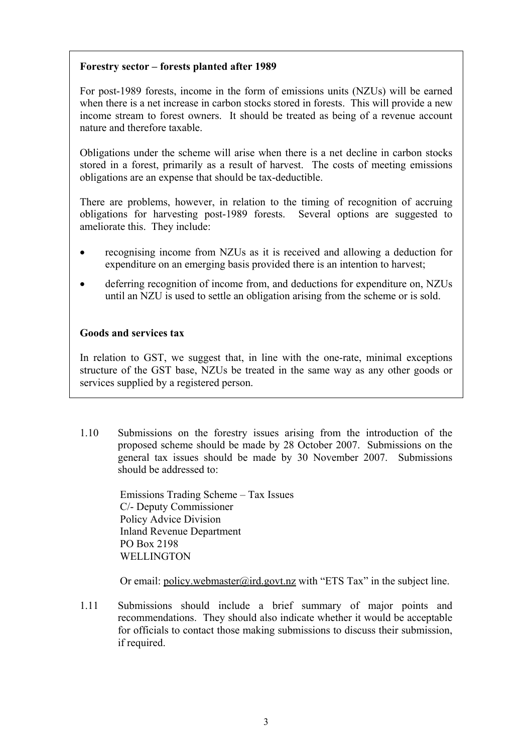## **Forestry sector – forests planted after 1989**

For post-1989 forests, income in the form of emissions units (NZUs) will be earned when there is a net increase in carbon stocks stored in forests. This will provide a new income stream to forest owners. It should be treated as being of a revenue account nature and therefore taxable.

Obligations under the scheme will arise when there is a net decline in carbon stocks stored in a forest, primarily as a result of harvest. The costs of meeting emissions obligations are an expense that should be tax-deductible.

There are problems, however, in relation to the timing of recognition of accruing obligations for harvesting post-1989 forests. Several options are suggested to ameliorate this. They include:

- recognising income from NZUs as it is received and allowing a deduction for expenditure on an emerging basis provided there is an intention to harvest;
- deferring recognition of income from, and deductions for expenditure on, NZUs until an NZU is used to settle an obligation arising from the scheme or is sold.

#### **Goods and services tax**

In relation to GST, we suggest that, in line with the one-rate, minimal exceptions structure of the GST base, NZUs be treated in the same way as any other goods or services supplied by a registered person.

1.10 Submissions on the forestry issues arising from the introduction of the proposed scheme should be made by 28 October 2007. Submissions on the general tax issues should be made by 30 November 2007. Submissions should be addressed to:

> Emissions Trading Scheme – Tax Issues C/- Deputy Commissioner Policy Advice Division Inland Revenue Department PO Box 2198 **WELLINGTON**

Or email: policy.webmaster@ird.govt.nz with "ETS Tax" in the subject line.

1.11 Submissions should include a brief summary of major points and recommendations. They should also indicate whether it would be acceptable for officials to contact those making submissions to discuss their submission, if required.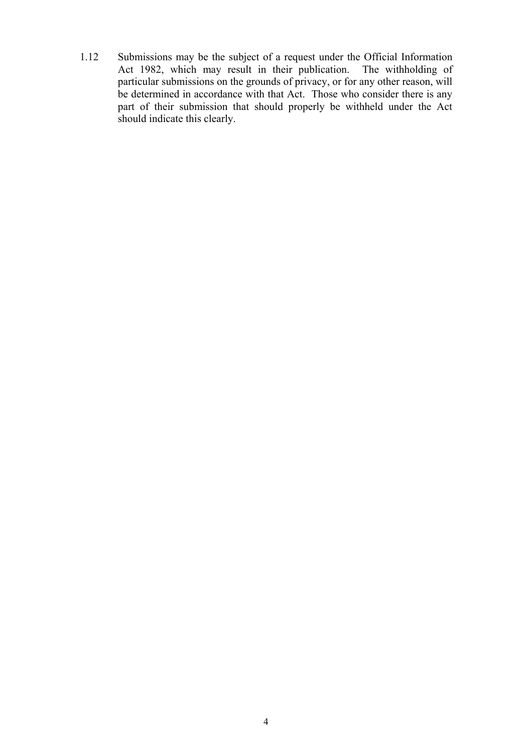1.12 Submissions may be the subject of a request under the Official Information Act 1982, which may result in their publication. The withholding of particular submissions on the grounds of privacy, or for any other reason, will be determined in accordance with that Act. Those who consider there is any part of their submission that should properly be withheld under the Act should indicate this clearly.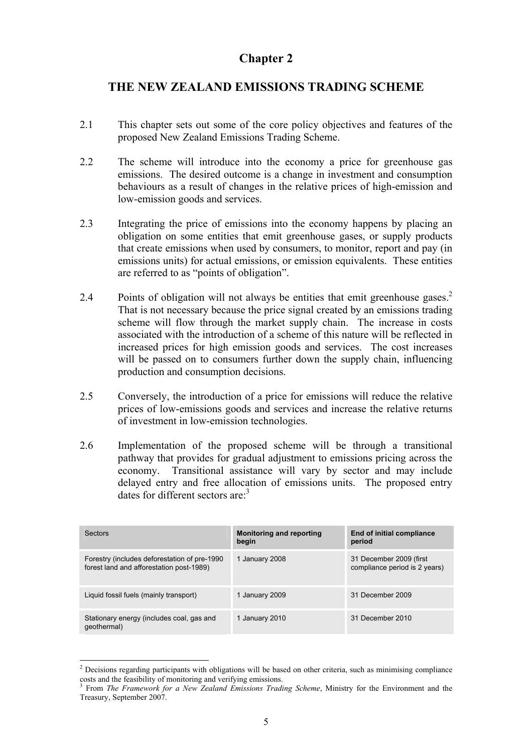# <span id="page-8-0"></span>**THE NEW ZEALAND EMISSIONS TRADING SCHEME**

- 2.1 This chapter sets out some of the core policy objectives and features of the proposed New Zealand Emissions Trading Scheme.
- 2.2 The scheme will introduce into the economy a price for greenhouse gas emissions. The desired outcome is a change in investment and consumption behaviours as a result of changes in the relative prices of high-emission and low-emission goods and services.
- 2.3 Integrating the price of emissions into the economy happens by placing an obligation on some entities that emit greenhouse gases, or supply products that create emissions when used by consumers, to monitor, report and pay (in emissions units) for actual emissions, or emission equivalents. These entities are referred to as "points of obligation".
- 2.4 Points of obligation will not always be entities that emit greenhouse gases.<sup>2</sup> That is not necessary because the price signal created by an emissions trading scheme will flow through the market supply chain. The increase in costs associated with the introduction of a scheme of this nature will be reflected in increased prices for high emission goods and services. The cost increases will be passed on to consumers further down the supply chain, influencing production and consumption decisions.
- 2.5 Conversely, the introduction of a price for emissions will reduce the relative prices of low-emissions goods and services and increase the relative returns of investment in low-emission technologies.
- 2.6 Implementation of the proposed scheme will be through a transitional pathway that provides for gradual adjustment to emissions pricing across the economy. Transitional assistance will vary by sector and may include delayed entry and free allocation of emissions units. The proposed entry dates for different sectors are:3

| Sectors                                                                                   | <b>Monitoring and reporting</b><br>begin | End of initial compliance<br>period                       |
|-------------------------------------------------------------------------------------------|------------------------------------------|-----------------------------------------------------------|
| Forestry (includes deforestation of pre-1990)<br>forest land and afforestation post-1989) | 1 January 2008                           | 31 December 2009 (first)<br>compliance period is 2 years) |
| Liquid fossil fuels (mainly transport)                                                    | 1 January 2009                           | 31 December 2009                                          |
| Stationary energy (includes coal, gas and<br>qeothermal)                                  | 1 January 2010                           | 31 December 2010                                          |

<sup>&</sup>lt;sup>2</sup> Decisions regarding participants with obligations will be based on other criteria, such as minimising compliance costs and the feasibility of monitoring and verifying emissions.<br><sup>3</sup> From *The Framquork for a Nau Zoaland Emissions Tradi* 

From *The Framework for a New Zealand Emissions Trading Scheme*, Ministry for the Environment and the Treasury, September 2007.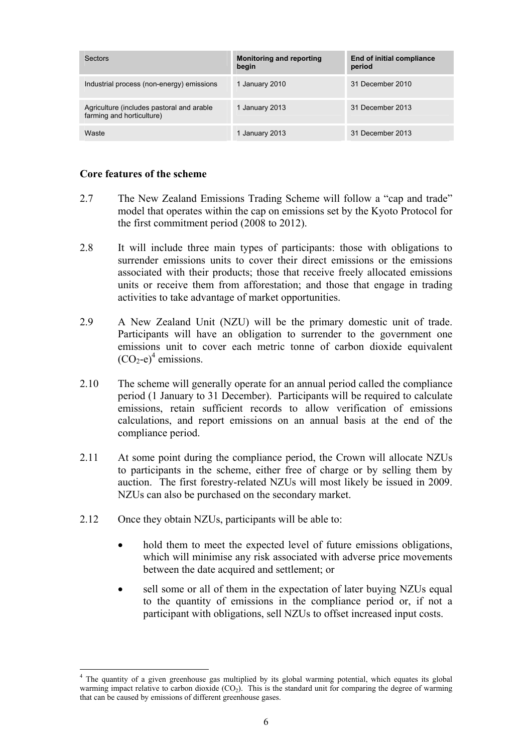<span id="page-9-0"></span>

| Sectors                                                                | <b>Monitoring and reporting</b><br>begin | End of initial compliance<br>period |
|------------------------------------------------------------------------|------------------------------------------|-------------------------------------|
| Industrial process (non-energy) emissions                              | 1 January 2010                           | 31 December 2010                    |
| Agriculture (includes pastoral and arable<br>farming and horticulture) | 1 January 2013                           | 31 December 2013                    |
| Waste                                                                  | 1 January 2013                           | 31 December 2013                    |

#### **Core features of the scheme**

- 2.7 The New Zealand Emissions Trading Scheme will follow a "cap and trade" model that operates within the cap on emissions set by the Kyoto Protocol for the first commitment period (2008 to 2012).
- 2.8 It will include three main types of participants: those with obligations to surrender emissions units to cover their direct emissions or the emissions associated with their products; those that receive freely allocated emissions units or receive them from afforestation; and those that engage in trading activities to take advantage of market opportunities.
- 2.9 A New Zealand Unit (NZU) will be the primary domestic unit of trade. Participants will have an obligation to surrender to the government one emissions unit to cover each metric tonne of carbon dioxide equivalent  $(CO_2-e)^4$  emissions.
- 2.10 The scheme will generally operate for an annual period called the compliance period (1 January to 31 December). Participants will be required to calculate emissions, retain sufficient records to allow verification of emissions calculations, and report emissions on an annual basis at the end of the compliance period.
- 2.11 At some point during the compliance period, the Crown will allocate NZUs to participants in the scheme, either free of charge or by selling them by auction. The first forestry-related NZUs will most likely be issued in 2009. NZUs can also be purchased on the secondary market.
- 2.12 Once they obtain NZUs, participants will be able to:

- hold them to meet the expected level of future emissions obligations, which will minimise any risk associated with adverse price movements between the date acquired and settlement; or
- sell some or all of them in the expectation of later buying NZUs equal to the quantity of emissions in the compliance period or, if not a participant with obligations, sell NZUs to offset increased input costs.

<sup>4</sup> The quantity of a given greenhouse gas multiplied by its global warming potential, which equates its global warming impact relative to carbon dioxide (CO<sub>2</sub>). This is the standard unit for comparing the degree of warming that can be caused by emissions of different greenhouse gases.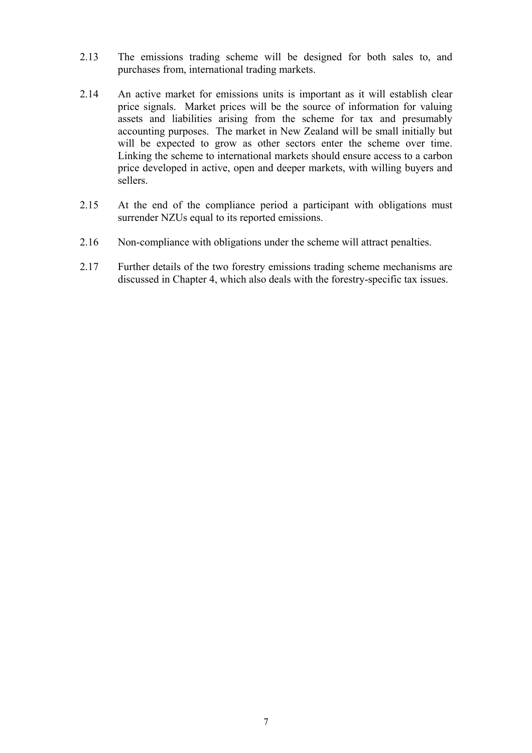- 2.13 The emissions trading scheme will be designed for both sales to, and purchases from, international trading markets.
- 2.14 An active market for emissions units is important as it will establish clear price signals. Market prices will be the source of information for valuing assets and liabilities arising from the scheme for tax and presumably accounting purposes. The market in New Zealand will be small initially but will be expected to grow as other sectors enter the scheme over time. Linking the scheme to international markets should ensure access to a carbon price developed in active, open and deeper markets, with willing buyers and sellers.
- 2.15 At the end of the compliance period a participant with obligations must surrender NZUs equal to its reported emissions.
- 2.16 Non-compliance with obligations under the scheme will attract penalties.
- 2.17 Further details of the two forestry emissions trading scheme mechanisms are discussed in Chapter 4, which also deals with the forestry-specific tax issues.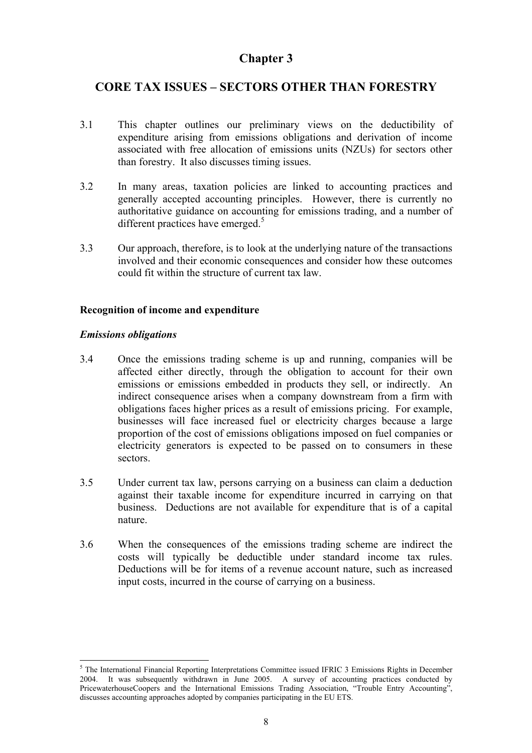# <span id="page-11-0"></span>**CORE TAX ISSUES – SECTORS OTHER THAN FORESTRY**

- 3.1 This chapter outlines our preliminary views on the deductibility of expenditure arising from emissions obligations and derivation of income associated with free allocation of emissions units (NZUs) for sectors other than forestry. It also discusses timing issues.
- 3.2 In many areas, taxation policies are linked to accounting practices and generally accepted accounting principles. However, there is currently no authoritative guidance on accounting for emissions trading, and a number of different practices have emerged.<sup>5</sup>
- 3.3 Our approach, therefore, is to look at the underlying nature of the transactions involved and their economic consequences and consider how these outcomes could fit within the structure of current tax law.

## **Recognition of income and expenditure**

#### *Emissions obligations*

- 3.4 Once the emissions trading scheme is up and running, companies will be affected either directly, through the obligation to account for their own emissions or emissions embedded in products they sell, or indirectly. An indirect consequence arises when a company downstream from a firm with obligations faces higher prices as a result of emissions pricing. For example, businesses will face increased fuel or electricity charges because a large proportion of the cost of emissions obligations imposed on fuel companies or electricity generators is expected to be passed on to consumers in these sectors.
- 3.5 Under current tax law, persons carrying on a business can claim a deduction against their taxable income for expenditure incurred in carrying on that business. Deductions are not available for expenditure that is of a capital nature.
- 3.6 When the consequences of the emissions trading scheme are indirect the costs will typically be deductible under standard income tax rules. Deductions will be for items of a revenue account nature, such as increased input costs, incurred in the course of carrying on a business.

<sup>&</sup>lt;sup>5</sup> The International Financial Reporting Interpretations Committee issued IFRIC 3 Emissions Rights in December 2004. It was subsequently withdrawn in June 2005. A survey of accounting practices conducted by PricewaterhouseCoopers and the International Emissions Trading Association, "Trouble Entry Accounting", discusses accounting approaches adopted by companies participating in the EU ETS.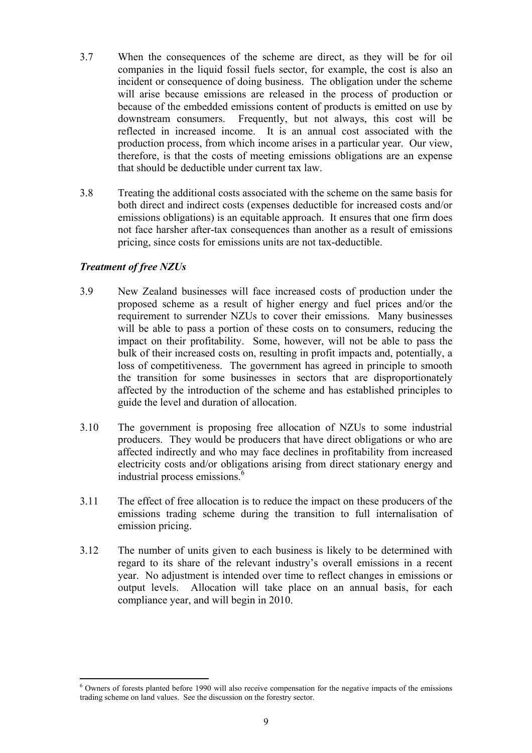- 3.7 When the consequences of the scheme are direct, as they will be for oil companies in the liquid fossil fuels sector, for example, the cost is also an incident or consequence of doing business. The obligation under the scheme will arise because emissions are released in the process of production or because of the embedded emissions content of products is emitted on use by downstream consumers. Frequently, but not always, this cost will be reflected in increased income. It is an annual cost associated with the production process, from which income arises in a particular year. Our view, therefore, is that the costs of meeting emissions obligations are an expense that should be deductible under current tax law.
- 3.8 Treating the additional costs associated with the scheme on the same basis for both direct and indirect costs (expenses deductible for increased costs and/or emissions obligations) is an equitable approach. It ensures that one firm does not face harsher after-tax consequences than another as a result of emissions pricing, since costs for emissions units are not tax-deductible.

### *Treatment of free NZUs*

- 3.9 New Zealand businesses will face increased costs of production under the proposed scheme as a result of higher energy and fuel prices and/or the requirement to surrender NZUs to cover their emissions. Many businesses will be able to pass a portion of these costs on to consumers, reducing the impact on their profitability. Some, however, will not be able to pass the bulk of their increased costs on, resulting in profit impacts and, potentially, a loss of competitiveness. The government has agreed in principle to smooth the transition for some businesses in sectors that are disproportionately affected by the introduction of the scheme and has established principles to guide the level and duration of allocation.
- 3.10 The government is proposing free allocation of NZUs to some industrial producers. They would be producers that have direct obligations or who are affected indirectly and who may face declines in profitability from increased electricity costs and/or obligations arising from direct stationary energy and industrial process emissions.<sup>6</sup>
- 3.11 The effect of free allocation is to reduce the impact on these producers of the emissions trading scheme during the transition to full internalisation of emission pricing.
- 3.12 The number of units given to each business is likely to be determined with regard to its share of the relevant industry's overall emissions in a recent year. No adjustment is intended over time to reflect changes in emissions or output levels. Allocation will take place on an annual basis, for each compliance year, and will begin in 2010.

<sup>&</sup>lt;sup>6</sup> Owners of forests planted before 1990 will also receive compensation for the negative impacts of the emissions trading scheme on land values. See the discussion on the forestry sector.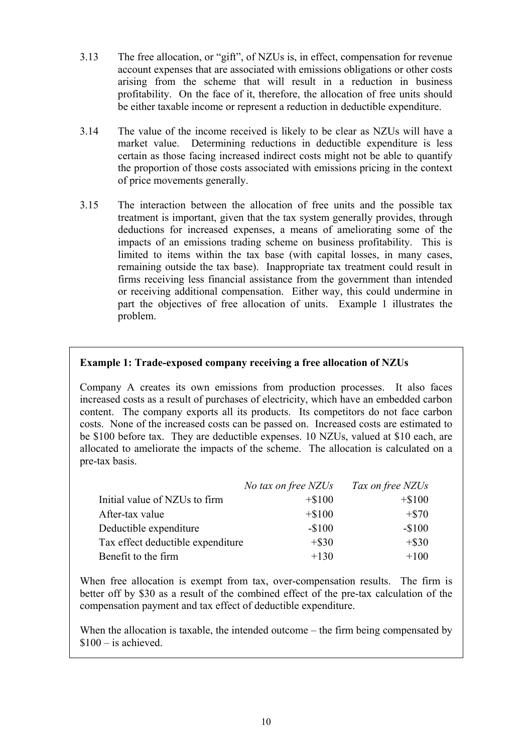- 3.13 The free allocation, or "gift", of NZUs is, in effect, compensation for revenue account expenses that are associated with emissions obligations or other costs arising from the scheme that will result in a reduction in business profitability. On the face of it, therefore, the allocation of free units should be either taxable income or represent a reduction in deductible expenditure.
- 3.14 The value of the income received is likely to be clear as NZUs will have a market value. Determining reductions in deductible expenditure is less certain as those facing increased indirect costs might not be able to quantify the proportion of those costs associated with emissions pricing in the context of price movements generally.
- 3.15 The interaction between the allocation of free units and the possible tax treatment is important, given that the tax system generally provides, through deductions for increased expenses, a means of ameliorating some of the impacts of an emissions trading scheme on business profitability. This is limited to items within the tax base (with capital losses, in many cases, remaining outside the tax base). Inappropriate tax treatment could result in firms receiving less financial assistance from the government than intended or receiving additional compensation. Either way, this could undermine in part the objectives of free allocation of units. Example 1 illustrates the problem.

## **Example 1: Trade-exposed company receiving a free allocation of NZUs**

Company A creates its own emissions from production processes. It also faces increased costs as a result of purchases of electricity, which have an embedded carbon content. The company exports all its products. Its competitors do not face carbon costs. None of the increased costs can be passed on. Increased costs are estimated to be \$100 before tax. They are deductible expenses. 10 NZUs, valued at \$10 each, are allocated to ameliorate the impacts of the scheme. The allocation is calculated on a pre-tax basis.

|                                   | No tax on free NZUs | Tax on free NZUs |
|-----------------------------------|---------------------|------------------|
| Initial value of NZUs to firm     | $+ $100$            | $+ $100$         |
| After-tax value                   | $+ $100$            | $+ $70$          |
| Deductible expenditure            | $-$100$             | $-$100$          |
| Tax effect deductible expenditure | $+$ \$30            | $+$ \$30         |
| Benefit to the firm               | $+130$              | $+100$           |

When free allocation is exempt from tax, over-compensation results. The firm is better off by \$30 as a result of the combined effect of the pre-tax calculation of the compensation payment and tax effect of deductible expenditure.

When the allocation is taxable, the intended outcome – the firm being compensated by  $$100 - is achieved.$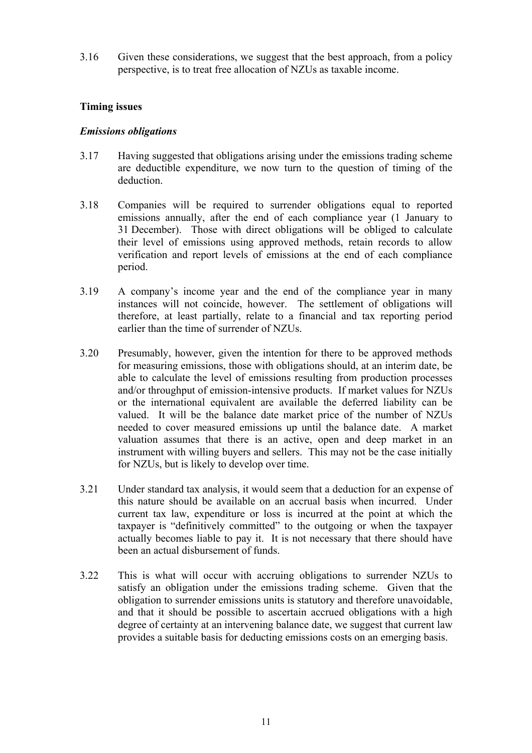<span id="page-14-0"></span>3.16 Given these considerations, we suggest that the best approach, from a policy perspective, is to treat free allocation of NZUs as taxable income.

## **Timing issues**

#### *Emissions obligations*

- 3.17 Having suggested that obligations arising under the emissions trading scheme are deductible expenditure, we now turn to the question of timing of the deduction.
- 3.18 Companies will be required to surrender obligations equal to reported emissions annually, after the end of each compliance year (1 January to 31 December). Those with direct obligations will be obliged to calculate their level of emissions using approved methods, retain records to allow verification and report levels of emissions at the end of each compliance period.
- 3.19 A company's income year and the end of the compliance year in many instances will not coincide, however. The settlement of obligations will therefore, at least partially, relate to a financial and tax reporting period earlier than the time of surrender of NZUs.
- 3.20 Presumably, however, given the intention for there to be approved methods for measuring emissions, those with obligations should, at an interim date, be able to calculate the level of emissions resulting from production processes and/or throughput of emission-intensive products. If market values for NZUs or the international equivalent are available the deferred liability can be valued. It will be the balance date market price of the number of NZUs needed to cover measured emissions up until the balance date. A market valuation assumes that there is an active, open and deep market in an instrument with willing buyers and sellers. This may not be the case initially for NZUs, but is likely to develop over time.
- 3.21 Under standard tax analysis, it would seem that a deduction for an expense of this nature should be available on an accrual basis when incurred. Under current tax law, expenditure or loss is incurred at the point at which the taxpayer is "definitively committed" to the outgoing or when the taxpayer actually becomes liable to pay it. It is not necessary that there should have been an actual disbursement of funds.
- 3.22 This is what will occur with accruing obligations to surrender NZUs to satisfy an obligation under the emissions trading scheme. Given that the obligation to surrender emissions units is statutory and therefore unavoidable, and that it should be possible to ascertain accrued obligations with a high degree of certainty at an intervening balance date, we suggest that current law provides a suitable basis for deducting emissions costs on an emerging basis.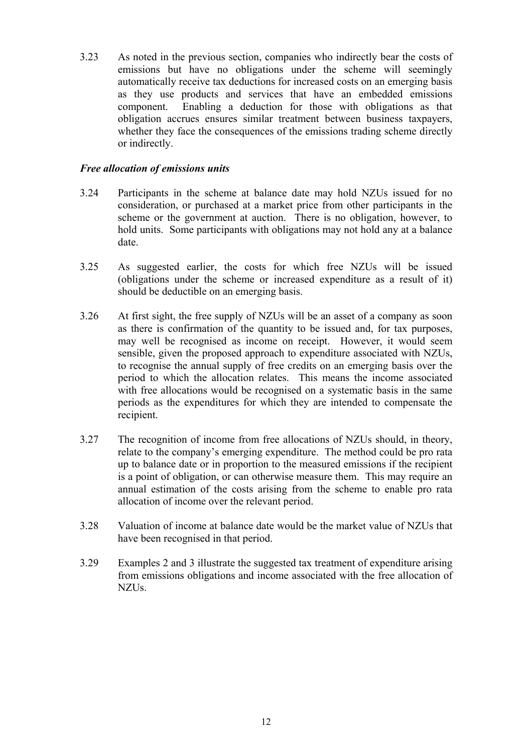3.23 As noted in the previous section, companies who indirectly bear the costs of emissions but have no obligations under the scheme will seemingly automatically receive tax deductions for increased costs on an emerging basis as they use products and services that have an embedded emissions component. Enabling a deduction for those with obligations as that obligation accrues ensures similar treatment between business taxpayers, whether they face the consequences of the emissions trading scheme directly or indirectly.

## *Free allocation of emissions units*

- 3.24 Participants in the scheme at balance date may hold NZUs issued for no consideration, or purchased at a market price from other participants in the scheme or the government at auction. There is no obligation, however, to hold units. Some participants with obligations may not hold any at a balance date.
- 3.25 As suggested earlier, the costs for which free NZUs will be issued (obligations under the scheme or increased expenditure as a result of it) should be deductible on an emerging basis.
- 3.26 At first sight, the free supply of NZUs will be an asset of a company as soon as there is confirmation of the quantity to be issued and, for tax purposes, may well be recognised as income on receipt. However, it would seem sensible, given the proposed approach to expenditure associated with NZUs, to recognise the annual supply of free credits on an emerging basis over the period to which the allocation relates. This means the income associated with free allocations would be recognised on a systematic basis in the same periods as the expenditures for which they are intended to compensate the recipient.
- 3.27 The recognition of income from free allocations of NZUs should, in theory, relate to the company's emerging expenditure. The method could be pro rata up to balance date or in proportion to the measured emissions if the recipient is a point of obligation, or can otherwise measure them. This may require an annual estimation of the costs arising from the scheme to enable pro rata allocation of income over the relevant period.
- 3.28 Valuation of income at balance date would be the market value of NZUs that have been recognised in that period.
- 3.29 Examples 2 and 3 illustrate the suggested tax treatment of expenditure arising from emissions obligations and income associated with the free allocation of NZUs.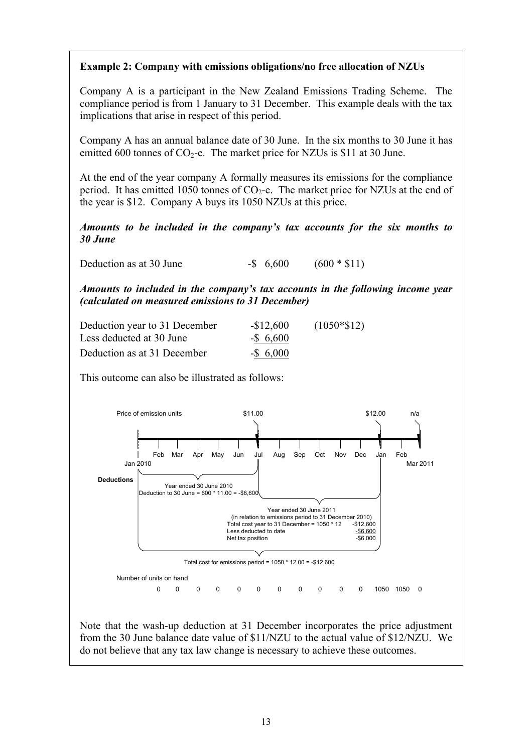# **Example 2: Company with emissions obligations/no free allocation of NZUs**

Company A is a participant in the New Zealand Emissions Trading Scheme. The compliance period is from 1 January to 31 December. This example deals with the tax implications that arise in respect of this period.

Company A has an annual balance date of 30 June. In the six months to 30 June it has emitted 600 tonnes of  $CO<sub>2</sub>$ -e. The market price for NZUs is \$11 at 30 June.

At the end of the year company A formally measures its emissions for the compliance period. It has emitted 1050 tonnes of  $CO<sub>2</sub>$ -e. The market price for NZUs at the end of the year is \$12. Company A buys its 1050 NZUs at this price.

*Amounts to be included in the company's tax accounts for the six months to 30 June* 

Deduction as at 30 June  $-$ \$ 6,600 (600  $*$  \$11)

*Amounts to included in the company's tax accounts in the following income year (calculated on measured emissions to 31 December)*

| Deduction year to 31 December | $-$12,600$   | $(1050*\$12)$ |
|-------------------------------|--------------|---------------|
| Less deducted at 30 June      | $-$ \$ 6,600 |               |
| Deduction as at 31 December   | $-$ \$ 6,000 |               |

This outcome can also be illustrated as follows:



Note that the wash-up deduction at 31 December incorporates the price adjustment from the 30 June balance date value of \$11/NZU to the actual value of \$12/NZU. We do not believe that any tax law change is necessary to achieve these outcomes.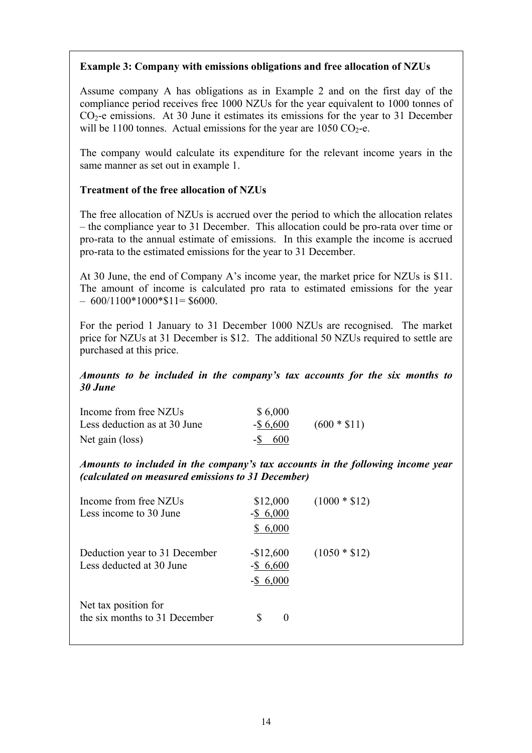## **Example 3: Company with emissions obligations and free allocation of NZUs**

Assume company A has obligations as in Example 2 and on the first day of the compliance period receives free 1000 NZUs for the year equivalent to 1000 tonnes of  $CO<sub>2</sub>$ -e emissions. At 30 June it estimates its emissions for the year to 31 December will be 1100 tonnes. Actual emissions for the year are 1050  $CO<sub>2</sub>$ -e.

The company would calculate its expenditure for the relevant income years in the same manner as set out in example 1.

## **Treatment of the free allocation of NZUs**

The free allocation of NZUs is accrued over the period to which the allocation relates – the compliance year to 31 December. This allocation could be pro-rata over time or pro-rata to the annual estimate of emissions. In this example the income is accrued pro-rata to the estimated emissions for the year to 31 December.

At 30 June, the end of Company A's income year, the market price for NZUs is \$11. The amount of income is calculated pro rata to estimated emissions for the year  $-600/1100*1000*11=$ \$6000.

For the period 1 January to 31 December 1000 NZUs are recognised. The market price for NZUs at 31 December is \$12. The additional 50 NZUs required to settle are purchased at this price.

### *Amounts to be included in the company's tax accounts for the six months to 30 June*

| Income from free NZUs        | \$6,000      |               |
|------------------------------|--------------|---------------|
| Less deduction as at 30 June | $-$ \$ 6,600 | $(600 * $11)$ |
| Net gain (loss)              | $-$ S 600    |               |

*Amounts to included in the company's tax accounts in the following income year (calculated on measured emissions to 31 December)* 

| Income from free NZUs<br>Less income to 30 June.          | \$12,000<br>$-$ \$ 6,000<br>6,000<br>S     | $(1000 * $12)$ |
|-----------------------------------------------------------|--------------------------------------------|----------------|
| Deduction year to 31 December<br>Less deducted at 30 June | $-$12,600$<br>$-$ \$ 6,600<br>$-$ \$ 6,000 | $(1050 * $12)$ |
| Net tax position for<br>the six months to 31 December     | $\mathbf{\Omega}$                          |                |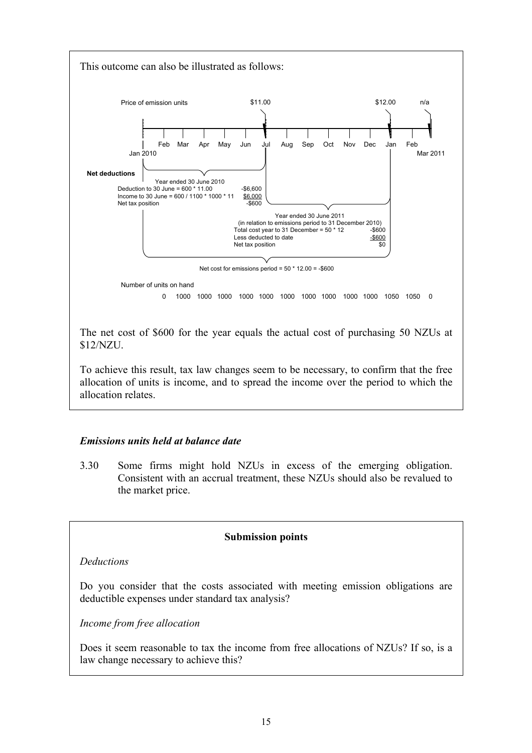

The net cost of \$600 for the year equals the actual cost of purchasing 50 NZUs at \$12/NZU.

To achieve this result, tax law changes seem to be necessary, to confirm that the free allocation of units is income, and to spread the income over the period to which the allocation relates.

## *Emissions units held at balance date*

3.30 Some firms might hold NZUs in excess of the emerging obligation. Consistent with an accrual treatment, these NZUs should also be revalued to the market price.

#### **Submission points**

*Deductions* 

Do you consider that the costs associated with meeting emission obligations are deductible expenses under standard tax analysis?

*Income from free allocation* 

Does it seem reasonable to tax the income from free allocations of NZUs? If so, is a law change necessary to achieve this?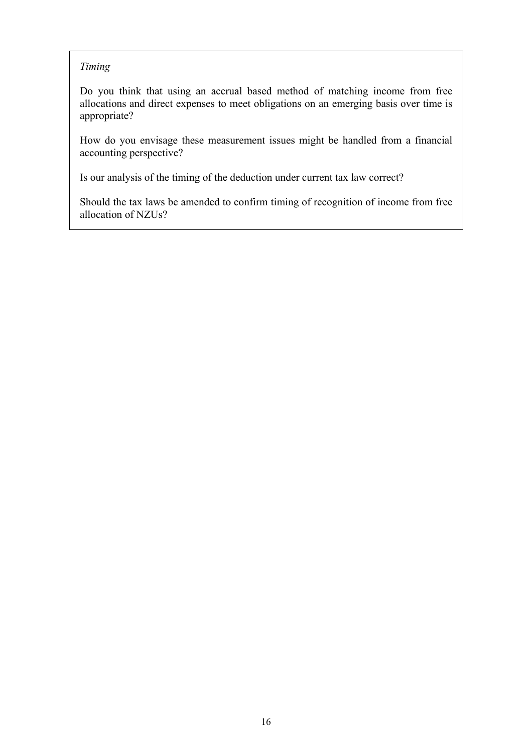## *Timing*

Do you think that using an accrual based method of matching income from free allocations and direct expenses to meet obligations on an emerging basis over time is appropriate?

How do you envisage these measurement issues might be handled from a financial accounting perspective?

Is our analysis of the timing of the deduction under current tax law correct?

Should the tax laws be amended to confirm timing of recognition of income from free allocation of NZUs?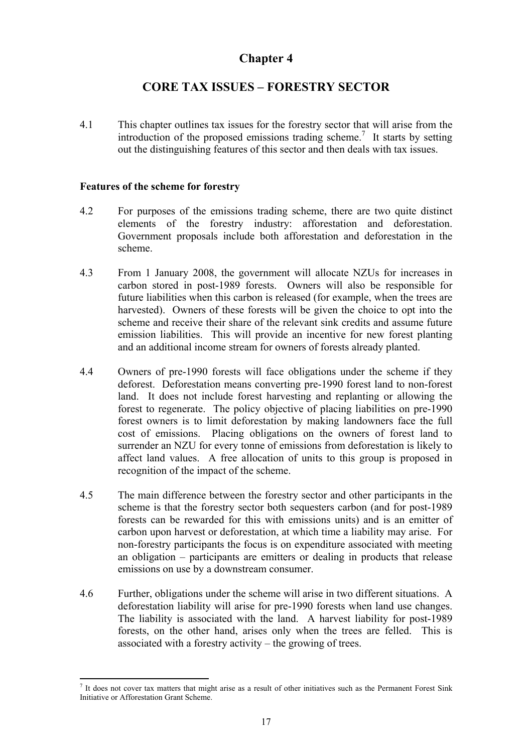# **CORE TAX ISSUES – FORESTRY SECTOR**

<span id="page-20-0"></span>4.1 This chapter outlines tax issues for the forestry sector that will arise from the introduction of the proposed emissions trading scheme.<sup>7</sup> It starts by setting out the distinguishing features of this sector and then deals with tax issues.

### **Features of the scheme for forestry**

- 4.2 For purposes of the emissions trading scheme, there are two quite distinct elements of the forestry industry: afforestation and deforestation. Government proposals include both afforestation and deforestation in the scheme.
- 4.3 From 1 January 2008, the government will allocate NZUs for increases in carbon stored in post-1989 forests. Owners will also be responsible for future liabilities when this carbon is released (for example, when the trees are harvested). Owners of these forests will be given the choice to opt into the scheme and receive their share of the relevant sink credits and assume future emission liabilities. This will provide an incentive for new forest planting and an additional income stream for owners of forests already planted.
- 4.4 Owners of pre-1990 forests will face obligations under the scheme if they deforest. Deforestation means converting pre-1990 forest land to non-forest land. It does not include forest harvesting and replanting or allowing the forest to regenerate. The policy objective of placing liabilities on pre-1990 forest owners is to limit deforestation by making landowners face the full cost of emissions. Placing obligations on the owners of forest land to surrender an NZU for every tonne of emissions from deforestation is likely to affect land values. A free allocation of units to this group is proposed in recognition of the impact of the scheme.
- 4.5 The main difference between the forestry sector and other participants in the scheme is that the forestry sector both sequesters carbon (and for post-1989 forests can be rewarded for this with emissions units) and is an emitter of carbon upon harvest or deforestation, at which time a liability may arise. For non-forestry participants the focus is on expenditure associated with meeting an obligation – participants are emitters or dealing in products that release emissions on use by a downstream consumer.
- 4.6 Further, obligations under the scheme will arise in two different situations. A deforestation liability will arise for pre-1990 forests when land use changes. The liability is associated with the land. A harvest liability for post-1989 forests, on the other hand, arises only when the trees are felled. This is associated with a forestry activity – the growing of trees.

 $<sup>7</sup>$  It does not cover tax matters that might arise as a result of other initiatives such as the Permanent Forest Sink</sup> Initiative or Afforestation Grant Scheme.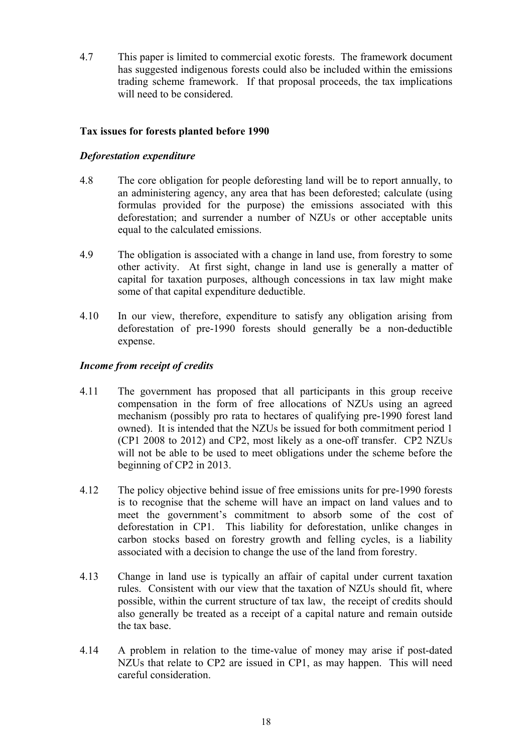<span id="page-21-0"></span>4.7 This paper is limited to commercial exotic forests. The framework document has suggested indigenous forests could also be included within the emissions trading scheme framework. If that proposal proceeds, the tax implications will need to be considered.

## **Tax issues for forests planted before 1990**

## *Deforestation expenditure*

- 4.8 The core obligation for people deforesting land will be to report annually, to an administering agency, any area that has been deforested; calculate (using formulas provided for the purpose) the emissions associated with this deforestation; and surrender a number of NZUs or other acceptable units equal to the calculated emissions.
- 4.9 The obligation is associated with a change in land use, from forestry to some other activity. At first sight, change in land use is generally a matter of capital for taxation purposes, although concessions in tax law might make some of that capital expenditure deductible.
- 4.10 In our view, therefore, expenditure to satisfy any obligation arising from deforestation of pre-1990 forests should generally be a non-deductible expense.

### *Income from receipt of credits*

- 4.11 The government has proposed that all participants in this group receive compensation in the form of free allocations of NZUs using an agreed mechanism (possibly pro rata to hectares of qualifying pre-1990 forest land owned). It is intended that the NZUs be issued for both commitment period 1 (CP1 2008 to 2012) and CP2, most likely as a one-off transfer. CP2 NZUs will not be able to be used to meet obligations under the scheme before the beginning of CP2 in 2013.
- 4.12 The policy objective behind issue of free emissions units for pre-1990 forests is to recognise that the scheme will have an impact on land values and to meet the government's commitment to absorb some of the cost of deforestation in CP1. This liability for deforestation, unlike changes in carbon stocks based on forestry growth and felling cycles, is a liability associated with a decision to change the use of the land from forestry.
- 4.13 Change in land use is typically an affair of capital under current taxation rules. Consistent with our view that the taxation of NZUs should fit, where possible, within the current structure of tax law, the receipt of credits should also generally be treated as a receipt of a capital nature and remain outside the tax base.
- 4.14 A problem in relation to the time-value of money may arise if post-dated NZUs that relate to CP2 are issued in CP1, as may happen. This will need careful consideration.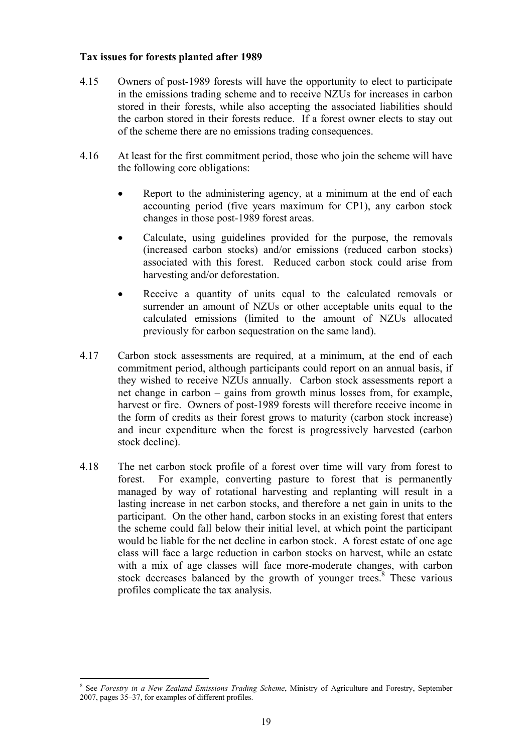#### <span id="page-22-0"></span>**Tax issues for forests planted after 1989**

- 4.15 Owners of post-1989 forests will have the opportunity to elect to participate in the emissions trading scheme and to receive NZUs for increases in carbon stored in their forests, while also accepting the associated liabilities should the carbon stored in their forests reduce. If a forest owner elects to stay out of the scheme there are no emissions trading consequences.
- 4.16 At least for the first commitment period, those who join the scheme will have the following core obligations:
	- Report to the administering agency, at a minimum at the end of each accounting period (five years maximum for CP1), any carbon stock changes in those post-1989 forest areas.
	- Calculate, using guidelines provided for the purpose, the removals (increased carbon stocks) and/or emissions (reduced carbon stocks) associated with this forest. Reduced carbon stock could arise from harvesting and/or deforestation.
	- Receive a quantity of units equal to the calculated removals or surrender an amount of NZUs or other acceptable units equal to the calculated emissions (limited to the amount of NZUs allocated previously for carbon sequestration on the same land).
- 4.17 Carbon stock assessments are required, at a minimum, at the end of each commitment period, although participants could report on an annual basis, if they wished to receive NZUs annually. Carbon stock assessments report a net change in carbon – gains from growth minus losses from, for example, harvest or fire. Owners of post-1989 forests will therefore receive income in the form of credits as their forest grows to maturity (carbon stock increase) and incur expenditure when the forest is progressively harvested (carbon stock decline).
- 4.18 The net carbon stock profile of a forest over time will vary from forest to forest. For example, converting pasture to forest that is permanently managed by way of rotational harvesting and replanting will result in a lasting increase in net carbon stocks, and therefore a net gain in units to the participant. On the other hand, carbon stocks in an existing forest that enters the scheme could fall below their initial level, at which point the participant would be liable for the net decline in carbon stock. A forest estate of one age class will face a large reduction in carbon stocks on harvest, while an estate with a mix of age classes will face more-moderate changes, with carbon stock decreases balanced by the growth of younger trees.<sup>8</sup> These various profiles complicate the tax analysis.

<sup>8</sup> See *Forestry in a New Zealand Emissions Trading Scheme*, Ministry of Agriculture and Forestry, September 2007, pages 35–37, for examples of different profiles.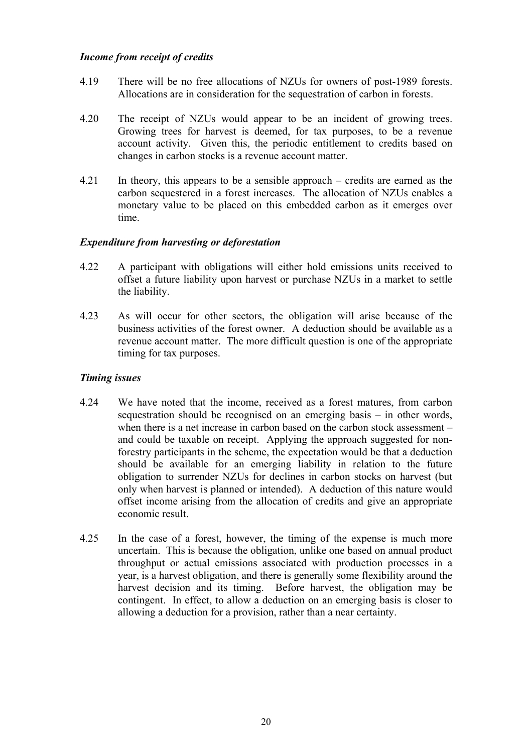### *Income from receipt of credits*

- 4.19 There will be no free allocations of NZUs for owners of post-1989 forests. Allocations are in consideration for the sequestration of carbon in forests.
- 4.20 The receipt of NZUs would appear to be an incident of growing trees. Growing trees for harvest is deemed, for tax purposes, to be a revenue account activity. Given this, the periodic entitlement to credits based on changes in carbon stocks is a revenue account matter.
- 4.21 In theory, this appears to be a sensible approach credits are earned as the carbon sequestered in a forest increases. The allocation of NZUs enables a monetary value to be placed on this embedded carbon as it emerges over time.

### *Expenditure from harvesting or deforestation*

- 4.22 A participant with obligations will either hold emissions units received to offset a future liability upon harvest or purchase NZUs in a market to settle the liability.
- 4.23 As will occur for other sectors, the obligation will arise because of the business activities of the forest owner. A deduction should be available as a revenue account matter. The more difficult question is one of the appropriate timing for tax purposes.

## *Timing issues*

- 4.24 We have noted that the income, received as a forest matures, from carbon sequestration should be recognised on an emerging basis – in other words, when there is a net increase in carbon based on the carbon stock assessment – and could be taxable on receipt. Applying the approach suggested for nonforestry participants in the scheme, the expectation would be that a deduction should be available for an emerging liability in relation to the future obligation to surrender NZUs for declines in carbon stocks on harvest (but only when harvest is planned or intended). A deduction of this nature would offset income arising from the allocation of credits and give an appropriate economic result.
- 4.25 In the case of a forest, however, the timing of the expense is much more uncertain. This is because the obligation, unlike one based on annual product throughput or actual emissions associated with production processes in a year, is a harvest obligation, and there is generally some flexibility around the harvest decision and its timing. Before harvest, the obligation may be contingent. In effect, to allow a deduction on an emerging basis is closer to allowing a deduction for a provision, rather than a near certainty.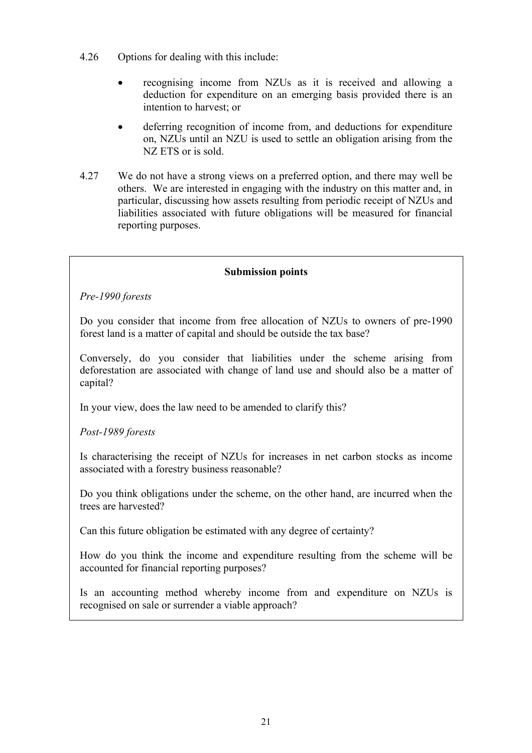- 4.26 Options for dealing with this include:
	- recognising income from NZUs as it is received and allowing a deduction for expenditure on an emerging basis provided there is an intention to harvest; or
	- deferring recognition of income from, and deductions for expenditure on, NZUs until an NZU is used to settle an obligation arising from the NZ ETS or is sold.
- 4.27 We do not have a strong views on a preferred option, and there may well be others. We are interested in engaging with the industry on this matter and, in particular, discussing how assets resulting from periodic receipt of NZUs and liabilities associated with future obligations will be measured for financial reporting purposes.

### **Submission points**

*Pre-1990 forests* 

Do you consider that income from free allocation of NZUs to owners of pre-1990 forest land is a matter of capital and should be outside the tax base?

Conversely, do you consider that liabilities under the scheme arising from deforestation are associated with change of land use and should also be a matter of capital?

In your view, does the law need to be amended to clarify this?

*Post-1989 forests* 

Is characterising the receipt of NZUs for increases in net carbon stocks as income associated with a forestry business reasonable?

Do you think obligations under the scheme, on the other hand, are incurred when the trees are harvested?

Can this future obligation be estimated with any degree of certainty?

How do you think the income and expenditure resulting from the scheme will be accounted for financial reporting purposes?

Is an accounting method whereby income from and expenditure on NZUs is recognised on sale or surrender a viable approach?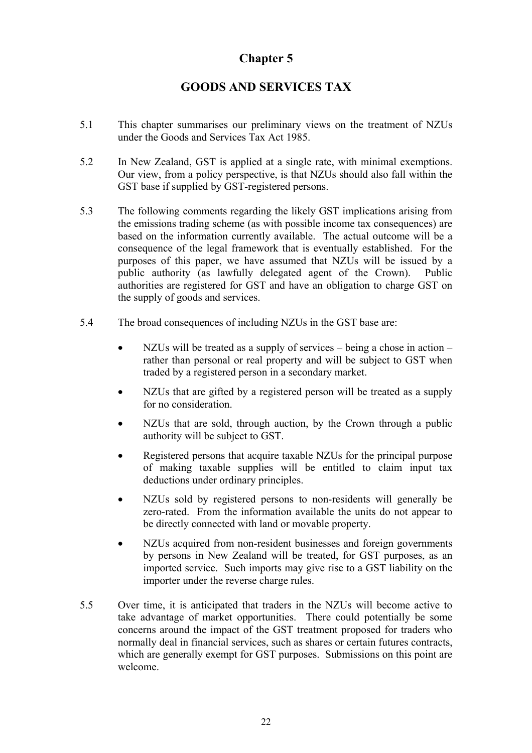# **GOODS AND SERVICES TAX**

- <span id="page-25-0"></span>5.1 This chapter summarises our preliminary views on the treatment of NZUs under the Goods and Services Tax Act 1985.
- 5.2 In New Zealand, GST is applied at a single rate, with minimal exemptions. Our view, from a policy perspective, is that NZUs should also fall within the GST base if supplied by GST-registered persons.
- 5.3 The following comments regarding the likely GST implications arising from the emissions trading scheme (as with possible income tax consequences) are based on the information currently available. The actual outcome will be a consequence of the legal framework that is eventually established. For the purposes of this paper, we have assumed that NZUs will be issued by a public authority (as lawfully delegated agent of the Crown). Public authorities are registered for GST and have an obligation to charge GST on the supply of goods and services.
- 5.4 The broad consequences of including NZUs in the GST base are:
	- NZUs will be treated as a supply of services being a chose in action rather than personal or real property and will be subject to GST when traded by a registered person in a secondary market.
	- NZUs that are gifted by a registered person will be treated as a supply for no consideration.
	- NZUs that are sold, through auction, by the Crown through a public authority will be subject to GST.
	- Registered persons that acquire taxable NZUs for the principal purpose of making taxable supplies will be entitled to claim input tax deductions under ordinary principles.
	- NZUs sold by registered persons to non-residents will generally be zero-rated. From the information available the units do not appear to be directly connected with land or movable property.
	- NZUs acquired from non-resident businesses and foreign governments by persons in New Zealand will be treated, for GST purposes, as an imported service. Such imports may give rise to a GST liability on the importer under the reverse charge rules.
- 5.5 Over time, it is anticipated that traders in the NZUs will become active to take advantage of market opportunities. There could potentially be some concerns around the impact of the GST treatment proposed for traders who normally deal in financial services, such as shares or certain futures contracts, which are generally exempt for GST purposes. Submissions on this point are welcome.